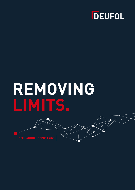

# **REMOVING LIMITS.**

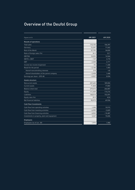# Overview of the Deufol Group

| Figures in $\in$ k                           | 6M 2021  | 6M 2020   |
|----------------------------------------------|----------|-----------|
| <b>Results of operations</b>                 |          |           |
| <b>Total sales</b>                           | 110,193  | 106,397   |
| Germany                                      | 72,397   | 71,562    |
| Rest of the World                            | 37,795   | 34,835    |
| Ratio of foreign sales (%)                   | 34.3     | 32.7      |
| <b>EBITDA</b>                                | 10,035   | 14,564    |
| $EBITA = EBIT$                               | $-129$   | 3,770     |
| EBT                                          | $-2,048$ | 2,771     |
| Income tax income (expenses)                 | $-92$    | $-1,368$  |
| Result for the period                        | $-2,140$ | 1,403     |
| thereof noncontrolling interests             | 318      | $-65$     |
| thereof shareholders of the parent company   | $-2,458$ | 1,468     |
| Earnings per share – EPS $(\epsilon)$        | $-0.057$ | 0.034     |
| <b>Assets structure</b>                      |          |           |
| <b>Noncurrent assets</b>                     | 207,645  | 189,004   |
| <b>Current assets</b>                        | 71,828   | 77,803    |
| Balance sheet total                          | 279,473  | 266,807   |
| Equity                                       | 111,459  | 114,216   |
| Liabilities                                  | 168,014  | 152,591   |
| Equity ratio (%)                             | 39.9     | 42.8      |
| Net financial liabilities                    | 90,973   | 69,926    |
| <b>Cash flow/investments</b>                 |          |           |
| Cash flow from operating activities          | 1,390    | 10,915    |
| Cash flow from investing activities          | $-6,995$ | $-5,829$  |
| Cash flow from financing activities          | $-4,052$ | $-10,487$ |
| Investments in property, plant and equipment | 3,267    | 10,606    |
| <b>Employees</b>                             |          |           |
| Employees (as of Jun. 30)                    | 1,976    | 1,980     |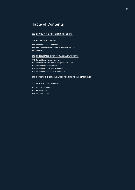## Table of Contents

#### DEUFOL IN THE FIRST SIX MONTHS OF 2021

#### MANAGEMENT REPORT

- Economic Outline Conditions
- Results of Operations, Financial and Asset Position
- Outlook

#### CONSOLIDATED INTERIM FINANCIAL STATEMENTS

- Consolidated Income Statement
- Consolidated Statement of Comprehensive Income
- Consolidated Balance Sheet
- Consolidated Cash Flow Statement
- Consolidated Statement of Changes in Equity

#### NOTES TO THE CONSOLIDATED INTERIM FINANCIAL STATEMENTS

#### ADDITIONAL INFORMATION

- Financial Calendar
- Key to Symbols
- Contact/Imprint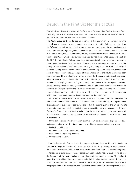# Deufol in the First Six Months of 2021

### Deufol's Long-Term Strategy and Performance Program Are Paying Off and Successfully Counteracting the Effects of the COVID-19 Pandemic and the Extreme Price Fluctuations on the Raw Materials Markets

The Deufol Group continues to face an extremely difficult environment in what is now the second year of the coronavirus pandemic. In general in the first half of 2021, uncertainty on Deufol's markets and supply chain disruptions have prompted strong fluctuations in demand in the industrial packaging segment, at a low baseline level. While demand picked up slightly in the first quarter, the second quarter (and May especially) was weaker. Moreover, the situation on the Deufol Group's key raw materials markets has deteriorated, partly as a result of the COVID-19 pandemic. Relevant market prices have risen by several hundred percent in some cases. Besides an increased level of demand, this trend reflects a contraction on the supply side especially. These factors are affecting the Group's cost base, while also significantly impacting availability and Deufol's related delivery capability. Thanks to its long-term supplier management strategy, in spite of these uncertainties the Deufol Group has been able to safeguard the availability of raw materials and will thus maintain its delivery capability for its customers in the coming months. In addition, particularly in this environment – which is challenging from a pricing and supply point of view – the strategy which Deufol has rigorously pursued for some years now of optimizing its use of materials and its material portfolio is helping to stabilize the Group, thanks to reduced use of raw materials. The measures implemented have significantly improved the level of use of materials by comparison with previous years and have partly compensated for the price rises.

Moreover, in the first six months of 2021 Deufol was only able to pass on the substantial increases in raw materials prices to its customers with a certain time lag. Having completed its adjustment of customer prices toward the end of the second quarter, the Group's results of operations can therefore be expected to improve considerably over the course of the year. The Deufol Group expects to already make up for the negative impact on earnings as a result of raw materials prices over the course of the third quarter, by passing on these higher prices to its customers.

In this difficult economic environment, the Deufol Group is continuing to pursue the strategic reorientation which it initiated in 2019 and which is focused on four core areas:

- Packaging and logistics
- $\blacksquare$  Production and distribution of packaging
- IT solutions for logistics processes
- Infrastructure solutions m.

Within the framework of this restructuring approach, through its acquisition of the Wallmann Terminal at the port of Hamburg in early 2021 the Deufol Group has significantly increased the depth of its services. With its new location and the related improved level of integration of its logistics chains, so as to include seagoing vessels, Deufol has a unique selling point in the German and European mechanical and plant engineering export sector. This makes it possible to consolidate different components for individual products or even entire projects at the port of departure and to package and ship them together. At the same time, thanks to this project right at the start of the year Deufol has ensured that it is strongly placed in order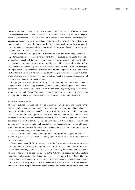to compete for market shares once industrial goods production picks up, after the pandemic has been successfully dealt with. However, for 2021 and for the first six months of the year especially, this acquisition will result in one-off expenses and nonrecurring effects that will depress earnings in 2021 on a one-off basis. Allowing for these one-off costs and the prevailing economic environment, the figures for the first six months of the year have surpassed our expectations, and we are optimistic that we will be able to significantly improve the contribution margin in the second half of the year.

Forging ahead while also pushing forward with digitalization during the pandemic is an important component of the crisis management strategy pursued by the Deufol Group as a whole. Deufol has already laid the key foundations for this in the past – not just within but also beyond its corporate group. In 2020, it rapidly enabled its entire administrative staff to switch over to mobile working. On the customer side, the innovative IT solutions developed throughout Deufol's supply chain are already an important component of its product portfolio. Due to the digitalization momentum triggered by the pandemic, the increased relevance of digital solutions for customers may have a significant positive impact on the company and boost the level of demand for its IT solutions.

At a geographical level, the Deufol Group is continuing to pursue the strategy which it adopted in 2019 of increasingly establishing and expanding industrial goods production and packaging locations in southeastern Europe. As part of this approach, it is pushing ahead with a new location in Poland. Through its continued pursuit of this strategy, Deufol remains well placed to handle any changes which may arise and equally for potential growth.

### Sales and Income Trend

The trends outlined above are also reflected in the Deufol Group's sales and income. In the first six months of 2021, at €110.2 million total sales were 3.6% or €3.8 million higher yearover-year. Initial positive earnings effects – as a result of adjustments made to customer prices on account of material prices, as well as the revival of some export activities in Germany and the Rest of Europe – have been offset by various countervailing effects. Sales have decreased in the USA in particular. This was mainly due to COVID-related declines in sales volumes in the first quarter and a weak start to the second quarter, followed by a slight recovery halfway through the year. Moreover, the time lag in passing on the higher raw materials prices has resulted in higher cost-of-materials ratios.

The sales trend includes the positive figures resulting from the acquisition of Wallmann & Co. (GmbH & Co. KG), which have partly made up for the coronavirus-related declines in sales volumes.

The operating result (EBITA) of  $-\epsilon$  0.1 million for the first six months of 2021 has exceeded our expectations and planning assumptions (previous year: €3.8 million). The EBITA margin has declined accordingly, from  $3.5\%$  to  $-0.1\%$ . This is mainly due to one-off effects, the financing and advisory expenses associated with the Wallmann transaction as well as Deufol's integration- and relocation-related operating expenses in Hamburg. These effects will not be repeated in the same manner in the second half of the year, since the relocation and integration process was already largely completed by late June, ahead of schedule. In Germany and the Rest of Europe, despite the strong rise in raw materials prices and the above-mentioned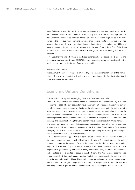one-off effects the operating result per se was stable year-over-year and remains positive. In the prior-year period, this item included extraordinary income from the sale of a property in Belgium in the amount of €3.8 million. In the USA/Rest of the World segment, as in the same period in the previous year, operating earnings are negative due to coronavirus as well as raw materials prices. However, here too it looks as though the measures initiated will have a positive impact in the second half of the year, with the sale of parts of the Group's business in China in 2020 having arrested the decline. Earnings are thus now moving in a positive direction.

Adjusted for the one-off effects in the first six months of 2021 (approx.  $\epsilon$ 1.0 million) and in the previous year, the Group's EBIT(A) has even increased from a balanced result in the previous year to a positive figure of approx. € 0.9 million.

#### Administrative Board

At the Annual General Meeting held on June 29, 2021, the current members of the Administrative Board were reelected with a clear majority. Members of the Administrative Board serve a two-year term of office.

## Economic Outline Conditions

### The World Economy Is Reemerging from the Coronavirus Crisis

The COVID-19 pandemic continued to impact many different areas of the economy in the first six months of 2021. The services sectors have been worst hit by the pandemic in the current year. In contrast, industrial goods production and world trade picked up in the spring from the weak level seen in 2020. However, despite this growth they have yet to regain their pre-crisis level. Moreover, in the second quarter supply constraints affecting various raw materials and logistics problems which had loomed large since the start of the year checked the economic upswing. The tensions affecting the world economy have been reflected in strong increases in prices of raw materials, intermediate goods, and transport services, which have already contributed to a significant increase in consumer prices. The United States and the Eurozone are taking significant action to buoy their economies through highly expansionary monetary policies and considerable fiscal stimulus measures.

Despite this continuing pandemic-related disruption in the first few months of 2021, in its summer economic analysis the Kiel Institute for the World Economy (IfW) sees the global economy on an upward trajectory. For all of the uncertainty, the Kiel Institute expects global output to increase overall by 6.7% in the current year. Moreover, on the labor market unemployment has generally only increased to a very moderate degree, in spite of the pandemic, and no setbacks are expected to occur in the short term. The Kiel Institute sees the widespread use of short-time working and the state-funded furlough scheme in the spring of 2020 as the factors underpinning this positive trend. Longer-term changes in the production structure which require changes in employment that might be postponed on account of the current policy of generous wage-replacement benefits represent a challenge for the labor market.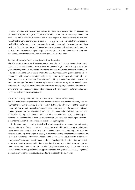However, together with the continuing tense situation on the raw materials markets and the persistent disruptions to logistics chains the further course of the coronavirus pandemic, the emergence of new variants of the virus and the slower pace of vaccination over the summer mean that the world economy and exports will likely grow at a slower rate than envisaged in the Kiel Institute's summer economic analysis. Nonetheless, despite these outline conditions the industrial goods backlog which has arisen due to the pandemic-related drop in output in 2020 and the mechanical and plant engineering sector's full order books point to a positive trend in this area for the second half of 2021 and at the start of 2022.

### Europe's Economy Recovering Sooner than Expected

The effects of the pandemic likewise remain apparent in the Eurozone. Economic output in 2021 is still 5.1% below its pre-crisis level and declined slightly in the first quarter of the year. However, there are significant differences between the various economic sectors and likewise between the Eurozone's member states. A clear north-south gap has opened up by comparison with the pre-crisis situation. Spain registered the strongest fall in output in the first quarter (9.1%), followed by Greece (7.9%) and Italy (6.6%). France is in line with the Eurozone average. Germany is recovering fairly well and is currently 3.6% below its precrisis level. Ireland, Finland and the Baltic states have already largely made up for their previous sharp drop in economic activity. Luxembourg is the only member state which has now exceeded its level in the previous year.

### German Economy: Between Price Pressure and Economic Recovery

The Kiel Institute also expects the German economy to return to a positive trajectory. Assuming that the economic recovery is not stopped in its tracks by a fresh wave of the pandemic driven by a new variant, the analysts expect to see a rapid expansion of overall economic output and the country moving beyond its pre-crisis level. In particular, trade and other services which involve a high level of contact intensity and which were particularly badly hit by the pandemic may benefit from a revival of private households' consumer spending in Germany too, once the pandemic-related restrictions are no longer in place.

On the other hand, according to the Kiel Institute the position of manufacturing industry has yet to improve. The strong global recovery has resulted in multi-layered supply bottlenecks, which are having a clear impact on many companies' production operations. Price pressure is climbing accordingly, especially in view of the strong global economic momentum. Prices of raw materials, intermediate goods and transport services have recently experienced strong rises. The economic environment is thus being shaped by the difficulties associated with a scarcity of resources and higher prices. For this reason, despite the strong improvement in the order situation, output in manufacturing industry will likely only recover over the second half of the year, provided that supply bottlenecks then gradually fade away. In general, Germany's gross domestic product is expected to increase by 3.9% in 2021.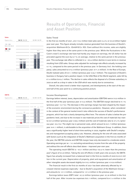# Results of Operations, Financial and Asset Position

### Sales Trend



In the first six months of 2021, at €110.2 million total sales were 3.6% or €3.8 million higher year-over-year. This figure already includes revenue generated from the business of Deufol's acquisition Wallmann & Co. (GmbH & Co. KG). Even without this income, sales are slightly higher than they were at the same point in the previous year. While the fluctuations in the Czech crown's exchange rate have had hardly any impact on earnings, the US dollar has depreciated against the euro by 8.7% on average, relative to the same period in the previous year. This exchange-rate effect is reflected in a – €0.6 million decline in euro terms in revenue resulting from USD sales. Group sales adjusted for exchange-rate effects actually increased by 4.1%, compared to the same period in the previous year. In Germany (incl. the holding company), sales amounted to €72.4 million (previous year: €71.4 million). In the Rest of Europe, Deufol realized sales of €31.1 million (previous year: €26.7 million). The expansion of Deufol's business in Hungary had a positive impact. In the USA/Rest of the World segment, sales fell by €1.4 million to €6.7 million. The decline in sales reflects the disposal of a Chinese subsidiary in 2020 as well as a drop in sales in the USA which was mainly due to coronavirus.

Overall, the sales trend is better than expected, and developments at the start of the second half of the year point to a continuing positive picture.

### Income Development

Earnings before interest, taxes, depreciation and amortization (EBITDA) were €10.0 million in the first half of the year (previous year: €14.6 million). The EBITDA margin declined to 9.1% (previous year: 13.7%). The decrease in this earnings margin has been shaped by the impact of the economic environment during the coronavirus pandemic. However, when considered in the context of the general market trend it also reflects the success of Deufol's performance program, which has had a clearly dampening effect here. The volume of sales is below the prepandemic level, and due to the increase in raw materials prices the cost of materials has risen to €41.8 million (previous year: €38.2 million) and the cost-of-materials ratio to 37.2% (previous year: 33.2%). The slight rise in personnel costs, which amount to €41.7 million (previous year: €41.1 million), is attributable to the acquisition of the Wallmann Group. In addition, there was a significantly higher level of short-time working in 2020, together with Deufol's employees and management accepting salary cuts. However, allowing for the one-off costs associated with factors such as the integration of Deufol's Wallmann acquisition in the first six months of the year, the EBITDA volume and EBITDA margin have only decreased to a moderate extent. Operating earnings per se – i.e. excluding extraordinary income from the sale of the property and without the one-off effects described above – improved year-over-year.

The operating result (EBITA) is –  $\epsilon$ 0.1 million and thus 102.6% lower than the previous year's figure of €3.8 million. Taking the one-off effects in both years into account, the EBITA figure has actually increased from a balanced level in the first six months of 2020 to €0.9 million in the current year. Depreciation of property, plant and equipment and amortization of other intangible assets decreased slightly to €10.2 million (previous year: €10.8 million).

The financial result in the first six months of 2021 has been adversely affected by increased interest expenses especially – due to Deufol's acquisition of the Wallmann Group – and amounts to  $-\epsilon$  1.9 million, compared to  $-\epsilon$  1.0 million in the previous year.

Earnings before taxes (EBT) total –  $\varepsilon$  2.0 million (previous year:  $\varepsilon$  2.8 million) in the first half of the year. After income tax expenses (€ 0.1 million, compared to € 1.4 million in the

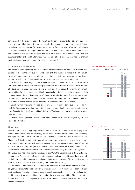same period in the previous year), the result for the period amounts to  $-\epsilon$  2.1 million, compared to € 1.4 million in the first half of 2020. In the tax expense item, hardly any deferred taxes have been recognized for the envisaged net profit for the year. After the profit shares contributed by noncontrolling interests ( $\epsilon$ 0.3 million, compared to –  $\epsilon$ 0.1 million in the same period in the previous year) have been deducted, a net loss of  $-\epsilon$  2.5 million is attributable to the shareholders of Deufol SE (previous year: net gain of €1.5 million). Earnings per share in the first six months were  $-\epsilon$  0.057 (previous year:  $\epsilon$  0.034).

### Cash Flow and Investments

The cash flow from operating activities in the first six months of the year is  $\epsilon$  1.4 million and thus lower than in the previous year (€10.9 million). The outflow of funds in the amount of – €4.8 million (previous year: €0 million) has mainly resulted from increased inventories as well as the extinction of other liabilities (-€1.4 million, previous year: €0 million).

Cash flow from investing activities is negative at  $-\epsilon$  7.0 million (previous year:  $-\epsilon$  5.8 million). Outflows of funds resulted from payments for the purchase of assets in the amount of –  $\epsilon$ 3.3 million (previous year: –  $\epsilon$  10.6 million) and from acquisitions in the amount of –€4.1 million (previous year: – €0 million). In particular, this reflects the investments made in connection with the acquisition of the Wallmann Group in Hamburg. There were no significant inflows of funds from the sale of intangible assets and property, plant and equipment and from interest received in the period under review (previous year:  $+ \epsilon 4.7$  million).

Cash flow from financing activities is negative, at  $-\epsilon$  4.1 million (previous year:  $-\epsilon$  10.5 million). Outflows mainly resulted from interest paid  $(-\epsilon_1.9 \text{ million})$  as well as the extinction of other financial liabilities ( $-\epsilon$  6.5 million). Inflows of funds are attributable to bank borrowings  $(+\epsilon 4.3$  million).

Cash and cash equivalents decreased by comparison with the end of the year, by  $\epsilon$ 9.4 million to €21.9 million.

### Financing

Several different financing groups exist within the Deufol Group which operate largely independently of one another. In Germany, Deufol has a variable-interest syndicated financing arrangement with a volume of € 39 million as of the reporting date and a term ending in May 2024. This offers sufficient financial scope until May 2024, so as to be able to act on any strategic opportunities which arise alongside day-to-day business operations. Within the scope of this financing arrangement, the loan agreement prescribes specific financial covenants which the Deufol Group is required to comply with during the term of the agreement. The Group also has other financing groups in the USA, the Czech Republic, Italy, Belgium, Hungary and Austria, some of which are independent and some of which are directly or indirectly integrated within its central syndicated financing arrangement. These mainly comprise amortizing loans for real estate, operating credit lines and factoring.

The financial liabilities of the Deufol Group increased in the first six months of the fiscal year and amount to €113.3 million (previous year: €103.0 million). Since cash and cash equivalents and financial receivables simultaneously decreased (– €9.4 million) net financial liabilities rose, from €71.3 million at the end of the year to €91.0 million. The balance of liabilities to banks and call deposits at banks is  $-\epsilon$  52.0 million, compared to  $-\epsilon$  37.2 million at the end of the year.

#### Cash flow from operating activities



#### Net financial liabilities

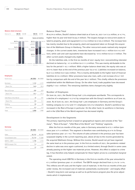#### Balance sheet structure



### Balance Sheet Total

At €279.5 million, Deufol's balance sheet total as of June 30, 2021 is €12.6 million, or 4.7%, higher than its year-end level (€266.9 million). The largest changes to noncurrent assets related to property, plant and equipment (+  $\epsilon$ 15.0 million to  $\epsilon$ 105.0 million). The increase here has mainly resulted due to the property, plant and equipment taken on through the acquisition of the Wallmann Group in Hamburg. The other noncurrent assets realized only marginal changes. In the current assets item, inventories have increased (+€5.1 million to €14.3 million), while cash and cash equivalents have decreased by –€9.4 million to €21.9 million. The other current assets changed only slightly.

On the liabilities side, in the first six months of 2021 equity (incl. noncontrolling interests) declined on balance by –  $\epsilon$ 1.8 million to  $\epsilon$ 111.5 million. This was mainly attributable to the loss for the period ( $-\epsilon$  2.1 million). With a higher balance sheet total, the equity ratio was at 39.9% lower than at the end of the previous year (42.5%). Liabilities increased on balance, by €14.4 million to €168.0 million. This is mainly attributable to the higher level of financial liabilities (€10.3 million). Other provisions have also risen, with a net increase of €4.7 million by comparison with the end of the year (€0.7 million). This chiefly reflects the provisions established within the Wallmann Group. On the other hand, trade payables have decreased slightly ( $-\epsilon$  0.1 million). The remaining liabilities items changed only slightly.

### Number of Employees

On June 30, 2021, the Deufol Group had 1,976 employees worldwide. This corresponds to a decline of 4 employees (–0.2%) by comparison with the Group's workforce as of June 30, 2020. As of June 30, 2021, the Group had 1,205 employees in Germany and the Group's holding company (61.0%) and 771 employees (39.0%) elsewhere. Deufol's workforce has increased in the Rest of Europe in particular. On the other hand, its workforce in Germany and in the USA/Rest of the World segment has decreased slightly.

### Development in the Segments

The primary reporting format is based on geographical regions and consists of the "Germany", "Rest of Europe", "USA/Rest of the World" and "Holding" segments.

After the first six months of the year, sales in Germany amounted to  $\epsilon$  72.1 million (previous year: €71.4 million). This segment is therefore now contributing 65.4% to Group sales (previous year: 67.1%). The volume of sales achieved in the previous year has been surpassed slightly in the current reporting year, above all due to the income generated by the acquired Wallmann Group. Without this income, Deufol would not yet have regained the same level as in the previous year. In the first six months of 2021, the pandemic-related decline in sales was once again cushioned, to a limited extent, through Deufol in some cases already passing on the higher raw materials prices. However, this effect is subject to a time lag. It has therefore only helped compensate for these higher prices to a somewhat marginal extent.

The operating result (EBITA) in Germany in the first six months of the year amounted to €1.2 million (previous year: €1.8 million). The EBITA margin declined from 2.2% to 1.4%. This reflects one-off costs and the higher cost of materials. In the first six months of the year under review, the increased cost of materials substantially counteracted – and largely offset – Deufol's long-term cost savings as well as its performance program plus the price adjustments which it implemented.

### Employees

| Deufol Group          | 06/2021 | 06/2020 |
|-----------------------|---------|---------|
| Germany               | 1,122   | 1,177   |
| Share (%)             | 56.8    | 59.4    |
| Rest of Europe        | 696     | 619     |
| Share (%)             | 35.2    | 31.3    |
| USA/Rest of the World | 75      | 101     |
| Share (%)             | 3.8     | 5.1     |
| Holding               | 83      | 83      |
| Share (%)             | 4.2     | 4.2     |
| Total                 | 1,976   | 1,980   |

#### Germany

| Figures in $E$ k   | 06/2021 | 06/2020 |
|--------------------|---------|---------|
| Sales              | 83,152  | 80,336  |
| Consolidated sales | 72,110  | 71.384  |
| $FBITA = FBIT$     | 1,198   | 1,772   |
| EBITA margin (%)   | 1.4     | 2.2     |
| <b>FBT</b>         | 57      | 1,206   |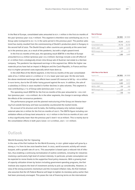In the Rest of Europe, consolidated sales amounted to €31.1 million in the first six months of the year (previous year: €26.7 million). This segment is therefore now contributing 28.2% to Group sales (compared to 25.1% in the same period in the previous year). The positive sales trend has mainly resulted from the commissioning of Deufol's production plant in Hungary in the second half of 2020. The Deufol Group's other countries are generally at the same level as in the previous year, as a result of the pandemic, but with a slight upward trend.

In the first six months of the year, the operating result (EBITA) in the Rest of Europe amounted to €2.6 million (previous year: €3.2 million). Earnings include a one-off effect of €1.0 million from a strategically driven intra-Group sale of Austrian real estate to a German company. The pandemic has depressed earnings in this segment too. While the higher raw materials prices have had an impact in Belgium and the Czech Republic, in France and Austria it is higher personnel costs especially which have done so.

In the USA/Rest of the World segment, in the first six months of the year consolidated sales of €6.7 million were €1.4 million or 17.3% lower year-over-year. On the one hand, the above-mentioned exchange-rate effects have caused US revenue to fall by  $-\epsilon$  0.6 million in euro terms, due to the US dollar losing ground against the euro. In addition, the sale of a subsidiary in China in 2020 resulted in further declines in sales volumes. This segment is now contributing 6.1% of Group sales (previous year: 7.6%).

The operating result (EBITA) for the first six months of the year amounted to  $-\epsilon$  0.2 million (previous year:  $-\epsilon$  0.4 million). As in the other segments, the change in earnings reflects the effects of the coronavirus pandemic.

The performance program and the planned restructuring of the Group are likewise bearing fruit outside Germany and have successfully counteracted the market trends.

On account of its structure and its tasks, the holding company only realizes marginal external sales (€0.3 million for the first six months of 2021). The EBITA figure including consolidation effects at Group level amounts to –€3.7 million in the first six months of 2021 and is thus significantly lower than the previous year's level (–€0.8 million). This is mainly due to the consolidation effects in both years (2020: +€1.8 million, 2021:  $-€1$  million).

### **Outlook**

### World Economy Set for Upswing

In the view of the Kiel Institute for the World Economy, in 2021 global output will grow by a strong 6.7% from its low 2020 baseline level. In 2022, world economic activity will remain buoyant, with a growth rate of 4.8%. This assumption is based upon a reduced risk of infection, thus enabling a continuing normalization of outline conditions, including for industries involving a particularly high level of contact intensity. In particular, private consumption can be expected to revive thanks to the supportive fiscal policy measures. With a growing level of capacity utilization driven by factors including government spending programs, the Kiel Institute also expects the level of investment activity to pick up considerably. However, in view of the strong economic momentum and the increased inflation risks, the Kiel Institute also assumes that the US Federal Reserve will begin to tighten its monetary policy earlier than had been previously envisaged. This poses the risk of financing terms on the international

#### Rest of Europe

| Figures in $\in$ k | 06/2021 | 06/2020 |
|--------------------|---------|---------|
| Sales              | 45,543  | 40,357  |
| Consolidated sales | 31,116  | 26,728  |
| $FBITA = FBIT$     | 2,614   | 3,191   |
| EBITA margin (%)   | 5.7     | 7.9     |
| <b>FBT</b>         | 1,888   | 2,699   |

#### USA /Rest of the World

| Figures in $\in$ k | 06/2021 | 06/2020 |  |
|--------------------|---------|---------|--|
| Sales              | 6,687   | 8,111   |  |
| Consolidated sales | 6,680   | 8,107   |  |
| $FBITA = FBIT$     | $-195$  | $-390$  |  |
| EBITA margin (%)   | $-2.9$  | $-4.8$  |  |
| <b>FBT</b>         | $-348$  | $-506$  |  |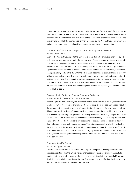capital markets already worsening significantly during the Kiel Institute's forecast period and thus for the foreseeable future. The course of the pandemic and developments on the raw materials markets in the first few weeks of the second half of the year mean that the economic trend will likely be slightly weaker than assumed by the Kiel Institute. However, this is unlikely to change the essential positive momentum over the next few months.

### The Eurozone's Economic Output Is Set to Pick Up and to Exceed Its Pre-Crisis Level

Overall, the Kiel Institute expects the Eurozone's gross domestic product to increase by 5.3% in the current year and by 4.4% in the coming year. These forecasts are based on a significant easing of the pandemic in the Eurozone too. This will enable governments to gradually dismantle the measures which are currently in place. Most of the production growth envisaged for the overall economy is expected to be realized in the service industries, which have been particularly badly hit to date. On the other hand, according to the Kiel Institute industry will only gradually recover. The economy will remain buoyed by fiscal policy which is still highly expansionary. The economic trend and the course of the pandemic at the start of the second half of 2021 mean that the Kiel Institute's view must be qualified. However, its key thrust is likely to remain valid, and industrial goods production especially will recover in the second half of 2021.

### Germany Risks Suffering Further Economic Setbacks

If the Pandemic Takes a Turn for the Worse

According to the Kiel Institute, the expected strong upturn in the current year reflects the winding-down of measures to prevent infections, as people are increasingly vaccinated. By the autumn at the latest, the process of immunization should be so far advanced that, from this point onward, the level of infection will no longer require the imposition of measures which would significantly disrupt economic activity. However, should any complications arise – such as new virus variants against which the vaccines currently available only provide inadequate protection – the measures to protect against infections would not be relaxed any further and would instead be tightened up again. This might then result in a further setback for the economy, with the sectors involving a high level of contact intensity the worst affected. In its summer forecast, the Kiel Institute assumes slightly weaker momentum in the second half of the year and expects gross domestic product growth of 3.9% overall in 2021 and of 4.8% in the coming year.

### Company-Specific Outlook

Risks and Opportunities

The risks and opportunities described in the report on expected developments and in the risk report contained in the Group management report for the 2020 annual financial statements continue to apply. However, the level of uncertainty relating to the COVID-19 pandemic has generally increased over the past few weeks, due to the further rise in case numbers and the spread of the so-called Delta variant.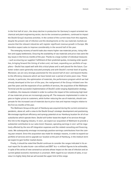In the first half of 2021, the sharp decline in production for Germany's export-oriented mechanical and plant engineering sector, due to the coronavirus pandemic, continued to impact the Deufol Group's business activities. In the context of the current news from this segment, despite the present rate of infection and the developments on the raw materials markets we assume that the relevant industries will register significant revenue growth in Europe. We therefore expect sales to improve considerably in the second half of the year.

The emerging recovery of world trade also means higher raw materials prices, rising inflation and supply bottlenecks. Ensuring the availability of raw materials and price rises were the key issues in the first six months of the year. Thanks to a large number of individual measures – such as ensuring our suppliers' fulfillment of their predicted quotas, increasing order quantities, bringing forward the timing of orders and, not least, expanding our portfolio of suppliers – Deufol has coped well with this critical phase and is well placed for the future. Customer orders were generally executed promptly and with Deufol's normal level of quality. Moreover, we are very strongly positioned for the second half of 2021 and beyond thanks to the efficiency measures which we have honed over a period of some years now. These include, in particular, the optimization of materials, the performance program which we had already developed at the turn of the year, the realignment of the Group initiated over the past few years and the expansion of our portfolio of services, the acquisition of the Wallmann Terminal and the successful implementation of Deufol's wide-ranging digitalization strategy. In addition, the measures initiated in order to cushion the impact of the continuing high level of raw materials prices are increasingly paying off. The measures implemented in order to pass on higher prices to customers, while further reducing the use of materials, should compensate for the increased cost of materials due to price rises and improve margins relative to the first six months of the year.

The Wallmann Group at the port of Hamburg was acquired during the current coronavirus pandemic, above all, with a view to the Deufol Group's strategic development and positioning. We envisage significant efficiency and synergy potential at our Hamburg location for all of our subsidiaries which operate there. Deufol will further boost the depth of its services through this link to the shipping industry. In 2021, we expect our acquisition of Wallmann to provide a substantial contribution to our sales trend. However, operating earnings in 2021 will be negatively affected by the one-off integration expenses and the related consulting and financing costs. We subsequently envisage increasingly positive earnings contributions from the coming year onward. Since this acquisition was made for strategic reasons, in order to expand our portfolio of services and to upgrade our location at the port of Hamburg, in the medium term we expect to gain further market shares.

Finally, it should be noted that Deufol continues to consider the ranges indicated in its annual report for its sales (€200–230 million) and EBIT (€2–5 million) figures to be achievable, in spite of the series of new coronavirus variants whose impact on the rate of infection and on current global economic momentum is uncertain. With regard to our volume of sales, in our view it is highly likely that we will exceed the upper limit of this range.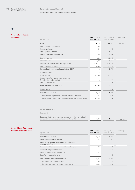### 多

### Consolidated Income Statement

| Figures in $\in$ k                                                      | Jan. 1, 2021-<br>Jun. 30, 2021 | Jan. 1, 2020-<br>Jun. 30, 2020 | Note/Page |  |
|-------------------------------------------------------------------------|--------------------------------|--------------------------------|-----------|--|
| <b>Sales</b>                                                            | 110,193                        | 106,397                        | 01/017    |  |
| Other own work capitalized                                              | 435                            | 271                            |           |  |
| Inventory changes                                                       | 244                            | 73                             |           |  |
| Other operating income                                                  | 1,586                          | 8,293                          |           |  |
| <b>Overall operating performance</b>                                    | 112,458                        | 115,034                        |           |  |
| Cost of materials                                                       | $-41,802$                      | $-38,205$                      |           |  |
| Personnel costs                                                         | $-41,739$                      | $-41,073$                      |           |  |
| Depreciation, amortization and impairment                               | $-10,164$                      | $-10,794$                      |           |  |
| Other operating expenses                                                | $-18,882$                      | $-21,192$                      |           |  |
| Income (loss) from operating activities (EBIT)                          | $-129$                         | 3,770                          |           |  |
| Financial income                                                        | 24                             | 97                             |           |  |
| Finance costs                                                           | $-1,868$                       | $-1,175$                       |           |  |
| Income (loss) from investments accounted<br>for using the equity method | $-42$                          | 79                             |           |  |
| Other financial result                                                  | $-33$                          | $\overline{0}$                 |           |  |
| Profit (loss) before taxes (EBT)                                        | $-2,048$                       | 2,771                          |           |  |
| Income taxes                                                            | $-92$                          | $-1,368$                       |           |  |
| Result for the period                                                   | $-2,140$                       | 1,403                          |           |  |
| thereof share of profits held by noncontrolling interests               | 318                            | $-65$                          |           |  |
| thereof share of profits held by shareholders in the parent company     | $-2.458$                       | 1,468                          |           |  |

### Earnings per share

| Basic and diluted earnings per share, based on the income (loss) |          |       |        |
|------------------------------------------------------------------|----------|-------|--------|
| attributable to common shareholders of Deufol SE                 | $-0.057$ | 0.034 | 02/017 |

### Consolidated Statement of Comprehensive Income

| Figures in $\in$ k                                                   | Jan. 1, 2021-<br>Jun. 30, 2021 | Jan. 1, 2020-<br>Jun. 30, 2020 | Note/Page |
|----------------------------------------------------------------------|--------------------------------|--------------------------------|-----------|
| Result for the period                                                | $-2,140$                       | 1,403                          |           |
| Other comprehensive income                                           | 363                            | $-2$                           |           |
| Items which may be reclassified to the income<br>statement in future |                                |                                |           |
| Income (loss) from currency translation, after taxes                 | 362                            | 183                            |           |
| Cash flow hedges before taxes                                        | 2                              | $-268$                         |           |
| Deferred taxes on cash flow hedges                                   | $-1$                           | 83                             |           |
| Cash flow hedges after taxes                                         |                                | $-185$                         |           |
| Comprehensive income after taxes                                     | $-1,777$                       | 1.401                          |           |
| thereof noncontrolling interests                                     | 318                            | $-65$                          |           |
| thereof shareholders in the parent company                           | $-2,095$                       | 1.466                          |           |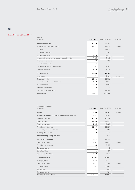### Ŵ

### Consolidated Balance Sheet

| Assets                                            |               |               |           |  |
|---------------------------------------------------|---------------|---------------|-----------|--|
| Figures in $\in$ k                                | Jun. 30, 2021 | Dec. 31, 2020 | Note/Page |  |
| Noncurrent assets                                 | 207,645       | 192,747       |           |  |
| Property, plant and equipment                     | 104,952       | 89,912        | 03/017    |  |
| Goodwill                                          | 71,011        | 71,011        |           |  |
| Other intangible assets                           | 5,977         | 6,506         |           |  |
| Investment property                               | 14,490        | 14,490        |           |  |
| Investments accounted for using the equity method | 1,420         | 1,462         |           |  |
| <b>Financial receivables</b>                      | 92            | 100           |           |  |
| Other financial assets                            | 273           | 8             |           |  |
| Other receivables and other assets                | 1,302         | 1,300         |           |  |
| Deferred tax assets                               | 8,128         | 7,959         |           |  |
| <b>Current assets</b>                             | 71,828        | 74,160        |           |  |
| Inventories                                       | 14,271        | 9,164         | 04/017    |  |
| Trade receivables                                 | 27,466        | 25,706        |           |  |
| Other receivables and other assets                | 6,265         | 6,027         |           |  |
| Tax receivables                                   | 1,578         | 1,593         |           |  |
| <b>Financial receivables</b>                      | 316           | 321           |           |  |
| Cash and cash equivalents                         | 21,932        | 31,349        |           |  |
| <b>Total assets</b>                               | 279,473       | 266,907       |           |  |

| <b>Equity and liabilities</b><br>Figures in $\in$ k  | Jun. 30, 2021 | Dec. 31, 2020 | Note/Page |
|------------------------------------------------------|---------------|---------------|-----------|
| Equity                                               | 111,459       | 113,262       | 05/018    |
| Equity attributable to the shareholders of Deufol SE | 110,247       | 112,341       |           |
| Subscribed capital                                   | 43,774        | 43,774        |           |
| Capital reserves                                     | 107,330       | 107,330       |           |
| Retained earnings                                    | 12,825        | 12,825        |           |
| Profit brought forward                               | $-52,989$     | $-50,531$     |           |
| Other comprehensive income                           | $-218$        | $-581$        |           |
| Treasury stock at cost                               | $-475$        | $-475$        |           |
| Noncontrolling equity interests                      | 1,212         | 921           |           |
| <b>Noncurrent liabilities</b>                        | 75,513        | 83,736        |           |
| <b>Financial liabilities</b>                         | 59,241        | 72,693        | 06/018    |
| Provisions for pensions                              | 4,132         | 3,170         |           |
| Other provisions                                     | 4,169         | $\Omega$      |           |
| Other liabilities                                    | 16            | 31            |           |
| Deferred tax liabilities                             | 7,955         | 7,842         |           |
| <b>Current liabilities</b>                           | 92,501        | 69,909        |           |
| Trade payables                                       | 23,468        | 24,170        |           |
| <b>Financial liabilities</b>                         | 54,072        | 30,349        | 06/018    |
| Other liabilities                                    | 13,083        | 13,841        |           |
| <b>Tax liabilities</b>                               | 629           | 825           |           |
| Other provisions                                     | 1,249         | 724           |           |
| <b>Total equity and liabilities</b>                  | 279,473       | 266,907       |           |
|                                                      |               |               |           |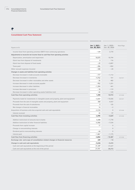### 1

### Consolidated Cash Flow Statement

| Figures in $\in$ k                                                                   | Jan. 1, 2021-<br>Jun. 30, 2021 | Jan. 1, 2020-<br>Jun. 30, 2020 | Note/Page |
|--------------------------------------------------------------------------------------|--------------------------------|--------------------------------|-----------|
| Income (loss) from operating activities (EBIT) from continuing operations            | $-129$                         | 3,770                          |           |
| Adjustments to reconcile net income (loss) to cash flow from operating activities    |                                |                                |           |
| Depreciation, amortization and impairment                                            | 10,075                         | 10,794                         |           |
| (Gain) loss from disposal of investments                                             | $\Omega$                       | 116                            |           |
| (Gain) loss from disposal of fixed assets                                            | $-29$                          | $-3,897$                       |           |
| Taxes paid                                                                           | $-206$                         | $-832$                         |           |
| Other noncash expenses (income)                                                      | $-348$                         | $-20$                          |           |
| Changes in assets and liabilities from operating activities                          |                                |                                |           |
| Decrease (increase) in trade accounts receivable                                     | $-777$                         | $-1,112$                       |           |
| Decrease (increase) in inventories                                                   | $-4,762$                       | 161                            | 04/017    |
| Decrease (increase) in other receivables and other assets                            | $-26$                          | 482                            |           |
| Increase (decrease) in trade accounts payable                                        | $-952$                         | 1,251                          |           |
| Increase (decrease) in other liabilities                                             | $-1,394$                       | 441                            |           |
| Increase (decrease) in provisions                                                    | $-18$                          | $-119$                         |           |
| Decrease (increase) in other operating assets/liabilities (net)                      | $-44$                          | $-120$                         |           |
| Cash flow from operating activities                                                  | 1,390                          | 10,915                         | 07/018    |
| Payments made for investments in intangible assets and property, plant and equipment | $-3,267$                       | $-10,606$                      | 03/017    |
| Proceeds from the sale of intangible assets and property, plant and equipment        | 358                            | 4,557                          |           |
| Proceeds from the sale of subsidiaries                                               | $\Omega$                       | 125                            |           |
| Net change in financial receivables                                                  | 14                             | $-2$                           |           |
| Acquisition of business units less acquired cash and cash equivalents                | $-4,124$                       | $\mathbf{0}$                   | 07/018    |
| Interest received                                                                    | 24                             | 97                             |           |
| Cash flow from investing activities                                                  | $-6,995$                       | $-5,829$                       | 07/018    |
| Addition (extinction) of amounts due to banks                                        | 4,308                          | $-1,778$                       |           |
| Addition (extinction) of other financial liabilities                                 | $-6,466$                       | $-7,534$                       |           |
| Proceeds from capital increase                                                       | 17                             | $\boldsymbol{0}$               |           |
| Change in noncontrolling interests                                                   |                                | $\overline{0}$                 |           |
| Dividend paid to noncontrolling interests                                            | $-44$                          | $\Omega$                       |           |
| Interest paid                                                                        | $-1,867$                       | $-1,175$                       |           |
| Cash flow from financing activities                                                  | $-4,052$                       | $-10,487$                      | 07/018    |
| Exchange rate- and scope of consolidation-related changes in financial resources     | 239                            | $-14$                          |           |
| Change in cash and cash equivalents                                                  | $-9,418$                       | $-5,415$                       |           |
| Cash and cash equivalents at the beginning of the period                             | 31,349                         | 31,627                         |           |
| Cash and cash equivalents at the end of the period                                   | 21,931                         | 26,212                         |           |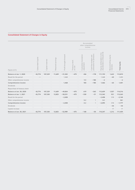### Consolidated Statement of Changes in Equity

|                              |                    |                  |                      |                        |                              | Accumulated<br>other comprehensive<br>income |                                                    |                                                         |                                         |              |
|------------------------------|--------------------|------------------|----------------------|------------------------|------------------------------|----------------------------------------------|----------------------------------------------------|---------------------------------------------------------|-----------------------------------------|--------------|
| Figures in $\in$ k           | Subscribed Capital | Capital reserves | earnings<br>Retained | Profit brought forward | stock<br>Treasury<br>at cost | Cumulative translation<br>adjustment         | provisions for pensions<br>and<br>Cash flow hedges | Equity attributable to the<br>shareholders of Deufol SE | equity<br>Noncontrolling e<br>interests | Total equity |
| Balance at Jan. 1, 2020      | 43,774             | 107,329          | 11,609               | $-51,302$              | $-475$                       | 436                                          | $-178$                                             | 111,193                                                 | 1,622                                   | 112,815      |
| Result for the period        |                    |                  |                      | 1,468                  |                              |                                              |                                                    | 1,468                                                   | $-65$                                   | 1,403        |
| Other comprehensive income   |                    |                  |                      |                        |                              | 183                                          | $-185$                                             | $-2$                                                    |                                         | $-2$         |
| Comprehensive income         |                    |                  |                      | 1,468                  |                              | 183                                          | $-185$                                             | 1,466                                                   | $-65$                                   | 1,401        |
| Dividends                    |                    |                  |                      |                        |                              |                                              |                                                    |                                                         |                                         |              |
| Repurchase of treasury stock |                    |                  |                      |                        |                              |                                              |                                                    |                                                         |                                         |              |
| Balance at Jun. 30, 2020     | 43,774             | 107,329          | 11,609               | $-49,834$              | $-475$                       | 619                                          | $-363$                                             | 112,659                                                 | 1,557                                   | 114,216      |
| Balance at Jan. 1, 2021      | 43,774             | 107,330          | 12,825               | $-50,531$              | $-475$                       | $-530$                                       | $-51$                                              | 112,342                                                 | 921                                     | 113,263      |
| Result for the period        |                    |                  |                      | $-2,458$               |                              |                                              |                                                    | $-2,458$                                                | 318                                     | $-2,140$     |
| Other comprehensive income   |                    |                  |                      |                        |                              | 362                                          | 1                                                  | 363                                                     |                                         | 363          |
| Comprehensive income         |                    |                  |                      | $-2,458$               |                              | 362                                          | 1                                                  | $-2,095$                                                | 318                                     | $-1,777$     |
| Dividends                    |                    |                  |                      |                        |                              |                                              |                                                    |                                                         | $-44$                                   | $-44$        |
| Capital increase             |                    |                  |                      |                        |                              |                                              |                                                    |                                                         | 17                                      | 17           |
| Balance at Jun. 30, 2021     | 43,774             | 107,330          | 12,825               | $-52,989$              | $-475$                       | $-168$                                       | $-50$                                              | 110,247                                                 | 1,212                                   | 111,459      |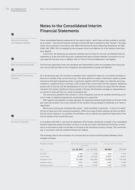General Accounting and Valuation Methods

New Accounting Standards

Effects of the Coronavirus

Pandemic

ſо

# Notes to the Consolidated Interim Financial Statements

These consolidated financial statements for the interim report – which have not been audited or verified by an auditor – describe the business activities of Deufol SE and its subsidiaries (the "Group"). The statements were produced in accordance with IFRS (International Financial Reporting Standards). All IFRS (IFRS, IAS, IFRIC, SIC) as adopted by the European Union and effective as of the balance sheet date were applied.

In principle, the balancing and valuation methods used are those for the last consolidated financial statements as of the end of the fiscal year. A detailed description of these methods is provided in our annual report for the year 2020. In addition, IAS 34 "Interim Financial Statements" was applied.

The first-time application of the new standards and interpretations which are mandatory from fiscal year 2021 has not had any effect on the recognition and measurement of assets and liabilities.

As in the previous year, the coronavirus pandemic had a significant impact on our business activities in the first six months of the current fiscal year. The sharp decline in output in Germany's export-oriented mechanical and plant engineering sector, in particular, together with the higher raw materials prices has resulted in a significant drop in earnings. In the context of the current news from this segment, despite the present rate of infection and the developments on the raw materials markets we expect that the relevant industries will register significant revenue growth in Europe. We therefore envisage an improvement in our volume of sales and thus our results of operations too.

The coronavirus pandemic thus remains a critical component, and we are carefully monitoring its impact in order to implement appropriate countermeasures in good time.

With regard to the goodwill currently reported, the impairment testing implemented on the basis of the year 2020 has not given rise to any indication of the situation having changed so drastically as to result in impairment.

We are also continuously reviewing other assets – trade receivables in particular – in terms of a potential loss of value due to the coronavirus pandemic. Within the scope of these analyses, we have not identified any issues relating to our portfolio of receivables such as indicate any significant impairment in the first six months of the current fiscal year.

In accordance with IAS 21, the financial statements of the foreign subsidiaries included in the consolidated financial statements whose functional currency is not the euro were converted into the Group currency (euro) on the balance sheet cut-off date on the basis of the functional-currency concept. The conversion was in accordance with the modified-closing-rate method.

The exchange rates for the translation of currencies that are not part of the European Monetary Union changed as follows:

| Foreign currency |                                | ECB reference rate as of the balance<br>sheet date | Average rate of exchange |          |  |
|------------------|--------------------------------|----------------------------------------------------|--------------------------|----------|--|
| per€             | Jun. 30, 2020<br>Jun. 30, 2021 |                                                    | 6M 2021                  | 6M 2020  |  |
| U.S. dollar      | 1.1884                         | 1.1198                                             | 1.2057                   | 1.1012   |  |
| Czech crown      | 25.4880                        | 26.7400                                            | 25.8551                  | 26.3421  |  |
| Hungarian forint | 351.6800                       | 356.5800                                           | 357.8540                 | 345.3946 |  |
| Singapore dollar | 1.5976                         | 1.5648                                             | 1.6061                   | 1.5409   |  |
| Chinese renminbi | 7.6742                         | 7.9219                                             | 7.7981                   | 7.7481   |  |

Currency Translation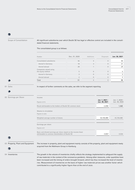R.

Scope of Consolidation

All significant subsidiaries over which Deufol SE has legal or effective control are included in the consolidated financial statements.

The consolidated group is as follows:

Income

Figures in € k

Shares in circulation Figures in units

Earnings per share

Basic and diluted earnings per share, based on the income (loss)

Figures in €

| Number                                      | Dec. 31, 2020 | Additions      | Disposals | Jun. 30, 2021 |
|---------------------------------------------|---------------|----------------|-----------|---------------|
| Consolidated subsidiaries                   | 46            | $\overline{4}$ | $\Omega$  | 50            |
| thereof in Germany                          | 18            | 3              | $\Omega$  | 21            |
| thereof abroad                              | 28            |                | $\Omega$  | 29            |
| Companies valued using<br>the equity method | 5             |                | $\Omega$  | 5             |
| thereof in Germany                          | 3             |                | $\Omega$  | 3             |
| thereof abroad                              | $\mathcal{P}$ |                | $\Omega$  |               |
| <b>Total</b>                                | 51            |                | $\Omega$  | 55            |

Result attributable to the holders of Deufol SE common stock and the common stock and the control of  $-2,458$ 

Weighted average number of shares 43,104,480 43,104,480 43,104,480 43,104,480 43,104,480 43,104,480 43,104,480 43,104,480 43,104,480 43,104,480 43,104,480 43,104,480 43,104,480 43,104,480 43,104,480 43,104,480 43,104,480 4

Jan. 1, 2021– Jun. 30, 2021

Jan. 1, 2020– Jun. 30, 2020

In respect of further comments on the sales, we refer to the segment reporting.

01 Sales

 $\triangle$ 

đ

02 Earnings per Share

ĥ

m

03 Property, Plant and Equipment

The increase in property, plant and equipment mainly consists of the property, plant and equipment newly acquired from the Wallmann Group in Hamburg.

attributable to common shareholders of Deufol SE  $-0.057$   $-0.057$  0.034

04 Inventories

The growth in the volume of inventories chiefly reflects the strategy implemented to safeguard the supply of raw materials in the context of the coronavirus pandemic. Among other measures, order quantities have been increased and the timing of orders brought forward, which has thus increased the level of inventories. Measurement of inventories on the basis of higher raw materials prices was another factor which contributed to a significantly higher figure than at the end of 2020.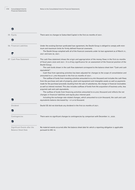Financial Statements







06 Financial Liabilities



07 Cash Flow Statement

There were no changes to Subscribed Capital in the first six months of 2021.

Under the existing German syndicated loan agreement, the Deufol Group is obliged to comply with minimum and maximum limits for firmly defined financial covenants.

The Deufol Group complied with all of the financial covenants under its loan agreement as of March 31, 2021 and June 30, 2021.

The cash flow statement shows the origin and appropriation of the money flows in the first six months of fiscal years 2020 and 2021. It is of key significance for an assessment of the financial position of the Deufol Group.

The cash funds shown in the cash flow statement correspond to the balance sheet item "Cash and cash equivalents".

Cash flow from operating activities has been adjusted for changes to the scope of consolidation and amounted to € 1,390 thousand in the first six months of 2021.

The outflow of funds from investing activities amounted to €6,995 thousand and includes the cash flows from the purchase and sale of property, plant and equipment and intangible assets as well as payments made for the purchase/proceeds resulting from the sale of subsidiaries, the change in financial receivables as well as interest received. This also includes outflows of funds from the acquisition of business units, less acquired cash and cash equivalents.

The outflow of funds from financing activities amounted to  $\epsilon$  4,052 thousand and reflects the net changes in financial liabilities and equity plus interest paid.

Including the exchange-rate-related changes, which amounted to € 239 thousand, the cash and cash equivalents balance decreased by  $-\epsilon$  9,418 thousand.

Deufol SE did not distribute any dividend in the first six months of 2021.

m

Dividend

Contingencies

Significant Events after the Balance Sheet Date

There were no significant changes to contingencies by comparison with December 31, 2020.

No material events occurred after the balance sheet date for which a reporting obligation is applicable pursuant to IAS 10.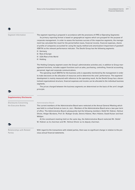Segment Information

The segment reporting is prepared in accordance with the provisions of IFRS 8 (Operating Segments).

Its primary reporting format is based on geographical regions which are grouped for the purpose of corporate management. In order to assess the business success of the respective segments, the management has calculated the result for the period before taxes, financial income, financial expenses, shares of profits of companies accounted for using the equity method and amortization /impairment of goodwill (EBITA) as the relevant performance indicator. The Deufol Group has the following segments:

- Germany
- Rest of Europe
- USA / Rest of the World
- **Holding**

The Holding Company segment covers the Group's administrative activities and, in addition to Group management functions, includes support functions such as sales, purchasing, controlling, financial accounting, personnel, legal and corporate communications.

The operating result (EBITA) for the business units is separately monitored by the management in order to make decisions on the allocation of resources and to determine the units' performance. The segments' development is mainly measured with reference to the operating result. As the Deufol Group has a decentralized organizational structure, financial expenses and income can be allocated to the individual business segments.

The prices charged between the business segments are determined on the basis of the arm's length principle.

### Supplementary Disclosures

 Disclosures Concerning the Executive Bodies

### Administrative Board

The current members of the Administrative Board were reelected at the Annual General Meeting which was held in a virtual format on June 29, 2021. Members of the Administrative Board serve a two-year term of office. The Administrative Board subsequently had the following members: Detlef W. Hübner, Helmut Olivier, Holger Bürskens, Prof. Dr. Rüdiger Grube, Dennis Hübner, Marc Hübner, Ewald Kaiser and Axel Wöltjen.

At the constituent meeting held on the same day, the Administrative Board reelected Mr. Detlef W. Hübner as its chairman and Mr. Helmut Olivier as its deputy chairman.

 Relationships with Related Parties

With regard to the transactions with related parties, there was no significant change in relation to the previous annual financial statements.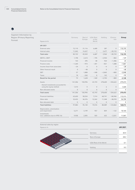

Segment Information by Region (Primary Reporting Format)

| Figures in $\in$ k                                           | Germany        | Rest of<br>Europe | USA/Rest<br>of the<br>World | Holding        | Elimina-<br>tion | Group    |
|--------------------------------------------------------------|----------------|-------------------|-----------------------------|----------------|------------------|----------|
| 6M 2021                                                      |                |                   |                             |                |                  |          |
| External sales                                               | 72,110         | 31,116            | 6,680                       | 287            | $\Omega$         | 110,193  |
| Internal sales                                               | 11,042         | 14,427            | $\overline{7}$              | 2,677          | $-28,153$        | 0        |
| <b>Total sales</b>                                           | 83,152         | 45,543            | 6,687                       | 2,964          | $-28,153$        | 110,193  |
| $EBITA = EBIT$                                               | 1,198          | 2,614             | $-195$                      | $-2,944$       | $-802$           | $-129$   |
| Financial income                                             | 143            | 295               | 48                          | 924            | $-1,386$         | 24       |
| Finance costs                                                | $-1,260$       | $-973$            | $-201$                      | $-821$         | 1,388            | $-1,867$ |
| Income (loss) from associates                                | $-24$          | $\Omega$          | $\Omega$                    | $-4$           | $\Omega$         | $-28$    |
| Other financial result                                       | $\Omega$       | $-48$             | $\Omega$                    | $\Omega$       | $\Omega$         | $-48$    |
| <b>EBT</b>                                                   | 57             | 1,888             | $-348$                      | $-2,845$       | $-800$           | $-2,048$ |
| Taxes                                                        | 18             | $-260$            | 8                           | 142            | $\mathbf{0}$     | $-92$    |
| Result for the period                                        | 75             | 1,628             | $-340$                      | $-2,703$       | $-800$           | $-2,140$ |
| Assets                                                       | 141,306        | 150,996           | 43,193                      | 278,600        | $-334,622$       | 279,473  |
| thereof investments accounted for<br>using the equity method | 1,414          | $\overline{0}$    | $\overline{0}$              | 6              | $\overline{0}$   | 1,420    |
| Non-allocated assets                                         | $\Omega$       | $\Omega$          | $\Omega$                    | $\Omega$       | $\Omega$         | $\Omega$ |
| <b>Total assets</b>                                          | 141,306        | 150,996           | 43,193                      | 278,600        | $-334,622$       | 279,473  |
| <b>Financial liabilities</b>                                 | 63,650         | 58,554            | 7,314                       | 68,741         | $-84,946$        | 113,313  |
| Other debt                                                   | 33,432         | 36,576            | 12,262                      | 11,348         | $-38,918$        | 54,700   |
| Non-allocated debt                                           | $\overline{0}$ | $\Omega$          | $\Omega$                    | $\overline{0}$ | $\overline{0}$   | 0        |
| <b>Total liabilities</b>                                     | 97,082         | 95,130            | 19,576                      | 80,089         | $-123,864$       | 168,013  |
| Depreciation, amortization<br>and impairment                 | 5,271          | 3,199             | 957                         | 859            | $-122$           | 10,164   |
| Investments<br>(incl. additions due to IFRS 16)              | 9,958          | 2,005             | 503                         | 632            | $-2,031$         | 11,067   |

| External sales by region<br>Figures in % |                       | 6M 2021 |
|------------------------------------------|-----------------------|---------|
|                                          | Germany               | 65.4    |
|                                          | Rest of Europe        | 28.2    |
|                                          | USA/Rest of the World | 6.1     |
|                                          | Holding               | 0.3     |
|                                          |                       |         |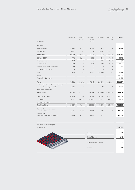| Figures in $\in$ k                                           | Germany  | Rest of<br>Europe | USA/Rest<br>of the<br>World | Holding      | Elimina-<br>tion | Group       |
|--------------------------------------------------------------|----------|-------------------|-----------------------------|--------------|------------------|-------------|
| 6M 2020                                                      |          |                   |                             |              |                  |             |
| External sales                                               | 71,384   | 26,728            | 8,107                       | 178          | $\overline{0}$   | 106,397     |
| Internal sales                                               | 8,952    | 13,629            | 4                           | 4,537        | $-27,122$        | $\mathbf 0$ |
| <b>Total sales</b>                                           | 80,336   | 40,357            | 8,111                       | 4,715        | $-27,122$        | 106,397     |
| $EBITA = EBIT$                                               | 1,772    | 3,191             | $-390$                      | $-2,610$     | 1,807            | 3,770       |
| Financial income                                             | 167      | 177               | 8                           | 946          | $-1,201$         | 97          |
| Finance costs                                                | $-810$   | $-670$            | $-124$                      | $-772$       | 1,201            | $-1,175$    |
| Income (loss) from associates                                | 79       | $\overline{0}$    | $\overline{0}$              | $\mathbf{0}$ | $\mathbf{0}$     | 79          |
| Other financial result                                       | $\Omega$ | $\Omega$          | $\Omega$                    | $\Omega$     | $\Omega$         | $\Omega$    |
| <b>EBT</b>                                                   | 1,208    | 2,698             | $-506$                      | $-2,436$     | 1,807            | 2,771       |
| Taxes                                                        |          |                   |                             |              |                  | $-1,368$    |
| Result for the period                                        |          |                   |                             |              |                  | 1,403       |
| Assets                                                       | 96,032   | 151,782           | 47,348                      | 280,499      | $-308,854$       | 266,807     |
| thereof investments accounted for<br>using the equity method | 1,335    | $\overline{0}$    | $\overline{0}$              | 72           | $\overline{0}$   | 1,407       |
| Non-allocated assets                                         |          |                   |                             |              |                  |             |
| <b>Total assets</b>                                          | 96,032   | 151,782           | 47,348                      | 280,499      | $-308,854$       | 266,807     |
| <b>Financial liabilities</b>                                 | 41,968   | 59,674            | 9,182                       | 65,009       | $-79,279$        | 96,554      |
| Other debt                                                   | 24,361   | 40,145            | 13,600                      | 18,822       | $-40,891$        | 56,037      |
| Non-allocated debt                                           |          |                   |                             |              |                  |             |
| <b>Total liabilities</b>                                     | 66,329   | 99,819            | 22,782                      | 83,831       | $-120,170$       | 152,591     |
| Depreciation, amortization<br>and impairment                 | 5,825    | 2,962             | 1,154                       | 894          | $-41$            | 10,794      |
| Investments<br>(incl. additions due to IFRS 16)              | 2,310    | 9,342             | 3,934                       | 611          | 1                | 16,198      |

| External sales by region |                       |         |
|--------------------------|-----------------------|---------|
| Figures in %             |                       | 6M 2020 |
|                          |                       |         |
|                          | Germany               | 67.1    |
|                          | Rest of Europe        | 25.1    |
|                          | USA/Rest of the World | 7.6     |
|                          | Holding               | 0.2     |
|                          |                       |         |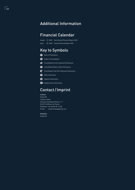# Additional Information

# Financial Calendar

August 27, 2021 Semi-Annual Financial Report 2021 April 30, 2022 Annual Financial Report 2021

# Key to Symbols

**Basis of Preparation** 

- Scope of Consolidation
- Consolidated Income Statement Disclosures
- **Consolidated Balance Sheet Disclosures**
- Consolidated Cash Flow Statement Disclosures ₽
- £ì Other Disclosures
- Segment Information
- Supplementary Disclosures

# Contact/Imprint

### Contact:

Deufol SE Claudia Ludwig Johannes-Gutenberg-Strasse 3 – 5 D-65719 Hofheim am Taunus Telephone: +49 (6122) 50 -12 28 E-mail: claudia.ludwig@deufol.com

Publisher:

Deufol SE